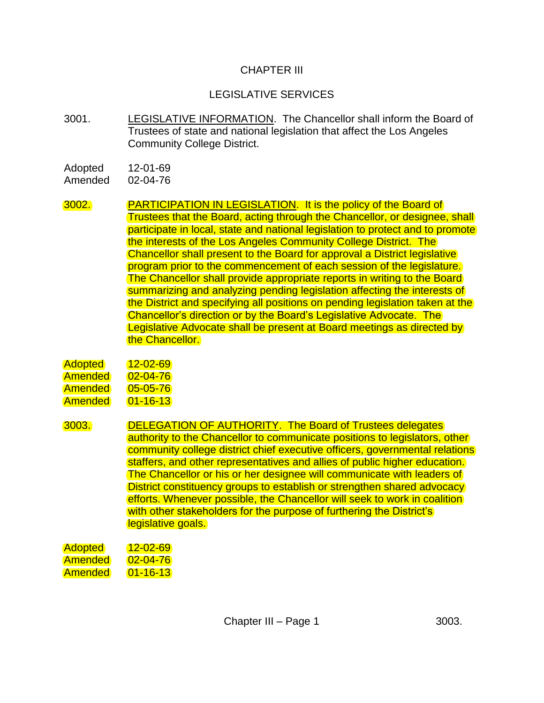## CHAPTER III

## LEGISLATIVE SERVICES

3001. LEGISLATIVE INFORMATION. The Chancellor shall inform the Board of Trustees of state and national legislation that affect the Los Angeles Community College District.

Adopted 12-01-69 Amended 02-04-76

3002. PARTICIPATION IN LEGISLATION. It is the policy of the Board of Trustees that the Board, acting through the Chancellor, or designee, shall participate in local, state and national legislation to protect and to promote the interests of the Los Angeles Community College District. The Chancellor shall present to the Board for approval a District legislative program prior to the commencement of each session of the legislature. The Chancellor shall provide appropriate reports in writing to the Board summarizing and analyzing pending legislation affecting the interests of the District and specifying all positions on pending legislation taken at the Chancellor's direction or by the Board's Legislative Advocate. The Legislative Advocate shall be present at Board meetings as directed by the Chancellor.

| <b>Adopted</b> | $12 - 02 - 69$ |
|----------------|----------------|
| Amended        | $02 - 04 - 76$ |
| Amended        | $05 - 05 - 76$ |
| Amended        | $01 - 16 - 13$ |

3003. DELEGATION OF AUTHORITY. The Board of Trustees delegates authority to the Chancellor to communicate positions to legislators, other community college district chief executive officers, governmental relations staffers, and other representatives and allies of public higher education. The Chancellor or his or her designee will communicate with leaders of District constituency groups to establish or strengthen shared advocacy efforts. Whenever possible, the Chancellor will seek to work in coalition with other stakeholders for the purpose of furthering the District's legislative goals.

Adopted 12-02-69 Amended 02-04-76 Amended 01-16-13